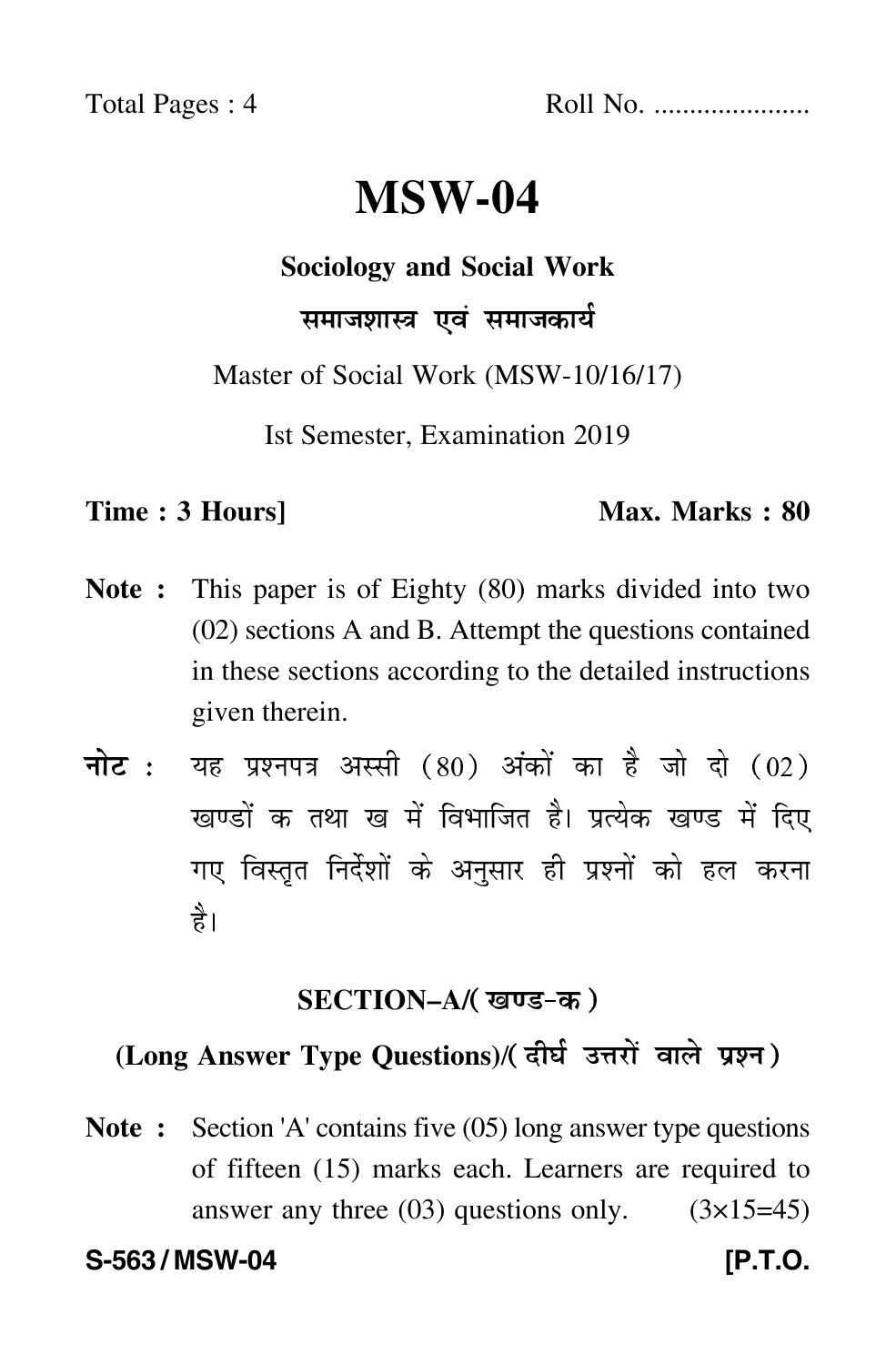Total Pages : 4 Roll No. ......................

# **MSW-04**

**Sociology and Social Work**

### समाजशास्त्र एवं समाजकार्य

Master of Social Work (MSW-10/16/17)

Ist Semester, Examination 2019

### **Time : 3 Hours]** Max. Marks : 80

- **Note :** This paper is of Eighty (80) marks divided into two (02) sections A and B. Attempt the questions contained in these sections according to the detailed instructions given therein.
- नोट : यह प्रश्नपत्र अस्सी (80) अंकों का है जो दो (02) खण्डों क तथा ख में विभाजित है। प्रत्येक खण्ड में दिए गए विस्तृत निर्देशों के अनुसार ही प्रश्नों को हल करन<mark>ा</mark> है।

### **SECTION–A/**

## **(Long Answer Type Questions)**/

**Note :** Section 'A' contains five (05) long answer type questions of fifteen (15) marks each. Learners are required to answer any three  $(03)$  questions only.  $(3\times15=45)$ 

**S-563 / MSW-04 [P.T.O.**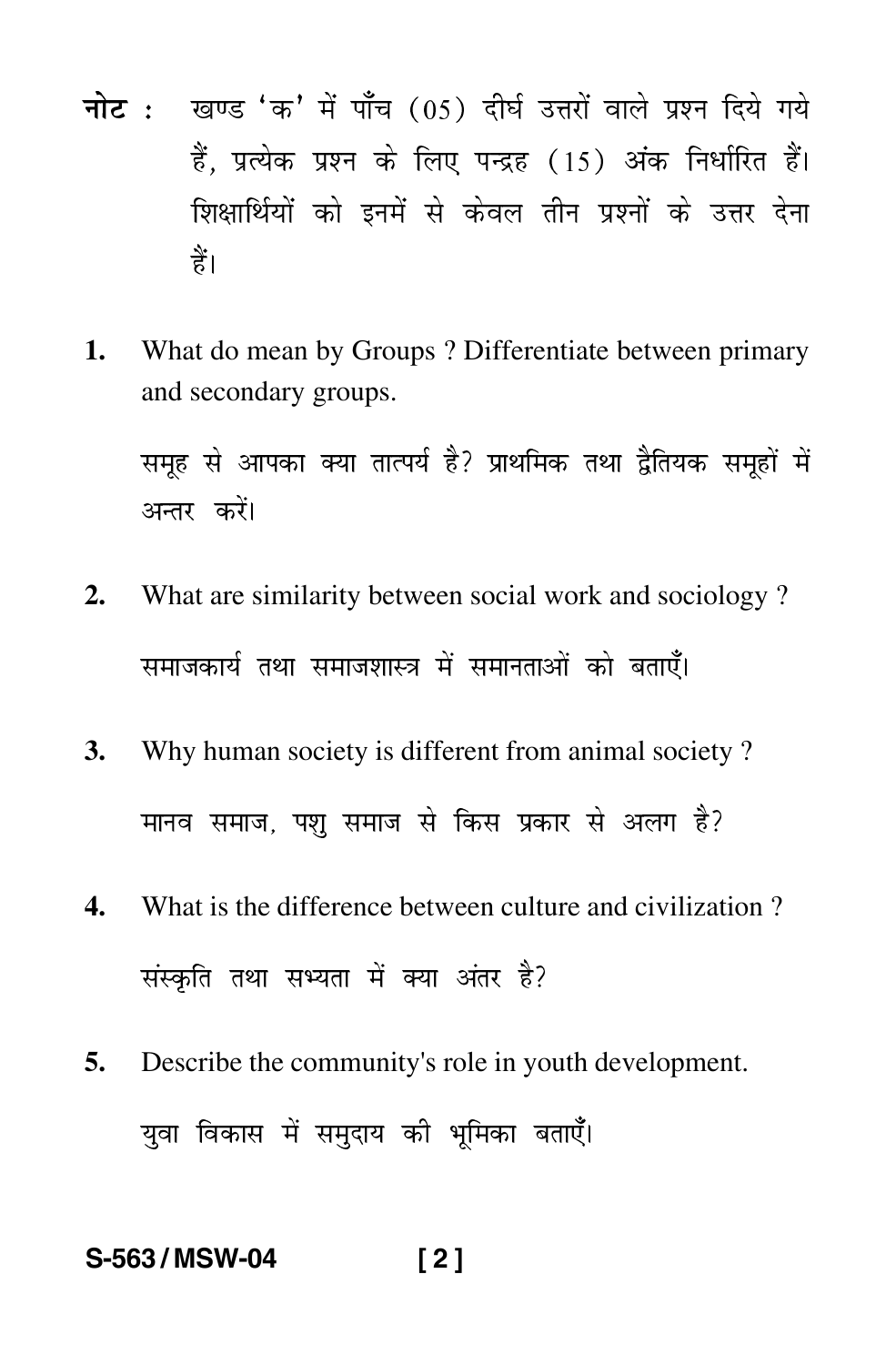- नोट : खण्ड 'क' में पाँच (05) दीर्घ उत्तरों वाले प्रश्न दिये गये हैं. प्रत्येक प्रश्न के लिए पन्द्रह (15) अंक निर्धारित हैं। शिक्षार्थियों को इनमें से केवल तीन प्रश्नों के उत्तर देना हैं।
- What do mean by Groups? Differentiate between primary  $\mathbf{1}$ . and secondary groups.

समूह से आपका क्या तात्पर्य है? प्राथमिक तथा द्वैतियक समूहों में अन्तर करें।

- What are similarity between social work and sociology?  $2.$ समाजकार्य तथा समाजशास्त्र में समानताओं को बताएँ।
- Why human society is different from animal society? 3. मानव समाज, पशु समाज से किस प्रकार से अलग है?
- $\overline{4}$ . What is the difference between culture and civilization? संस्कृति तथा सभ्यता में क्या अंतर है?
- Describe the community's role in youth development. 5. युवा विकास में समुदाय की भूमिका बताएँ।

### S-563/MSW-04  $[2]$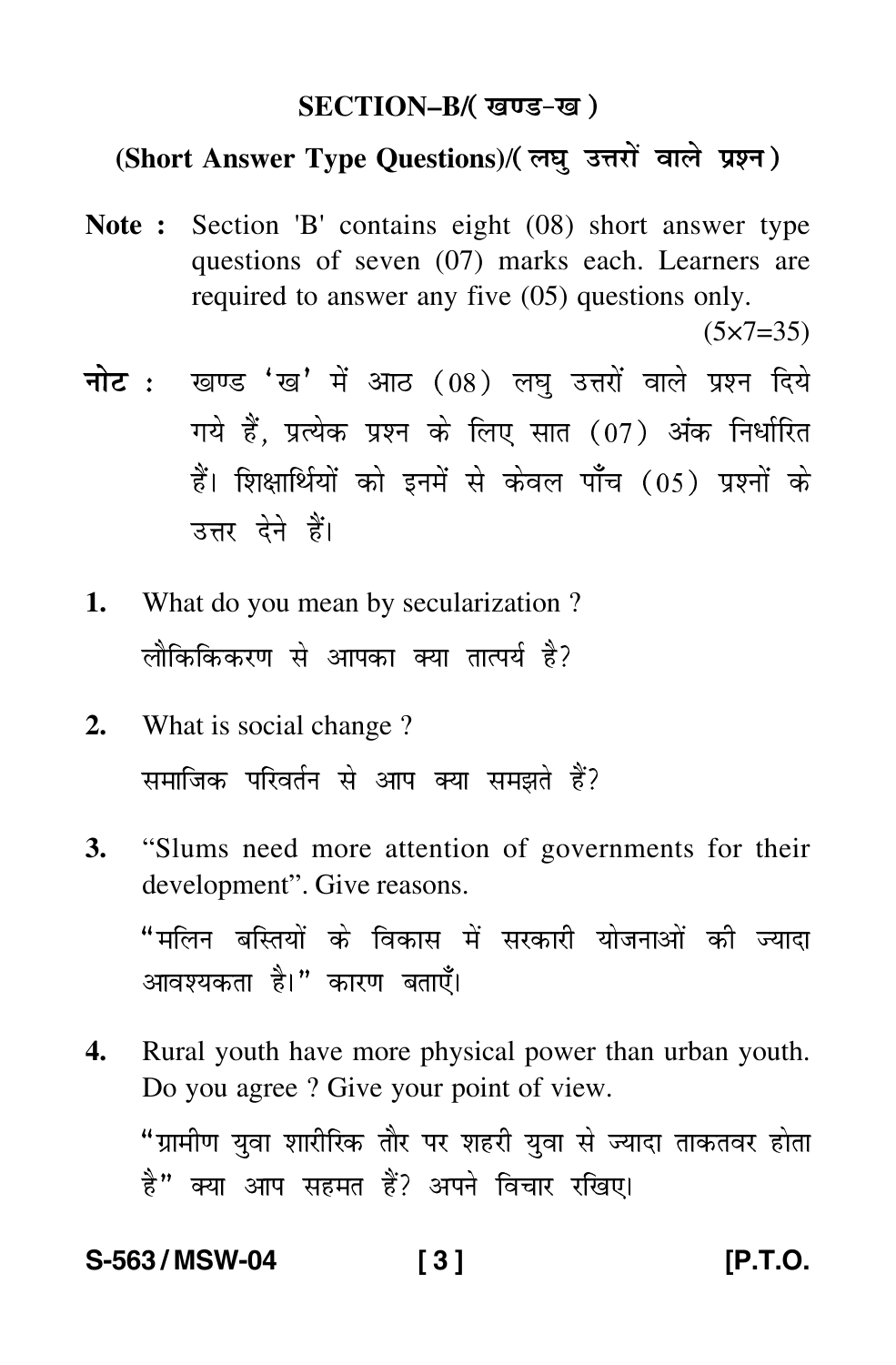### **SECTION–B/**

### **(Short Answer Type Questions)**/

**Note :** Section 'B' contains eight (08) short answer type questions of seven (07) marks each. Learners are required to answer any five (05) questions only.

 $(5 \times 7 = 35)$ 

- <mark>नोट</mark> : खण्ड 'ख' में आठ (08) लघु उत्तरों वाले प्रश्न दिये गये हैं, प्रत्येक प्रश्न के लिए सात (07) अंक निर्धारित हैं। शिक्षार्थियों को इनमें से केवल पाँच (05) प्रश्नों के उत्तर देने हैं।
- **1.** What do you mean by secularization ? लौकिकिकरण से आपका क्या तात्पर्य है?
- **2.** What is social change ? समाजिक परिवर्तन से आप क्या समझते हैं?
- **3.** "Slums need more attention of governments for their development". Give reasons. "मलिन बस्तियों के विकास में सरकारी योजनाओं की ज्यादा आवश्यकता है।" कारण बताएँ।
- **4.** Rural youth have more physical power than urban youth. Do you agree ? Give your point of view. "ग्रामीण युवा शारीरिक तौर पर शहरी युवा से ज्यादा ताकतवर होता है" क्या आप सहमत हैं? अपने विचार रखिए।

### **S-563 / MSW-04 [ 3 ] [P.T.O.**